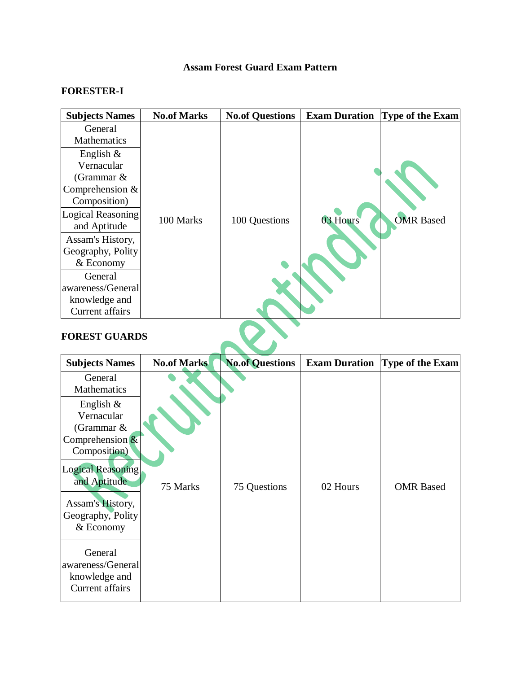## **Assam Forest Guard Exam Pattern**

## **FORESTER-I**

| <b>Subjects Names</b>    | <b>No.of Marks</b> | <b>No.of Questions</b> | <b>Exam Duration</b> | <b>Type of the Exam</b> |
|--------------------------|--------------------|------------------------|----------------------|-------------------------|
| General<br>Mathematics   |                    |                        |                      |                         |
| English $\&$             |                    |                        |                      |                         |
| Vernacular               |                    |                        |                      |                         |
| (Grammar $\&$            |                    |                        |                      |                         |
| Comprehension $&$        |                    |                        |                      |                         |
| Composition)             |                    |                        |                      |                         |
| <b>Logical Reasoning</b> |                    |                        |                      |                         |
| and Aptitude             | 100 Marks          | 100 Questions          | 03 Hours             | <b>OMR Based</b>        |
| Assam's History,         |                    |                        |                      |                         |
| Geography, Polity        |                    |                        |                      |                         |
| & Economy                |                    |                        |                      |                         |
| General                  |                    |                        |                      |                         |
| awareness/General        |                    |                        |                      |                         |
| knowledge and            |                    |                        |                      |                         |
| Current affairs          |                    |                        |                      |                         |

## **FOREST GUARDS**

| <b>Subjects Names</b>                                                                                      | <b>No.of Marks</b> | <b>No.of Questions</b> | <b>Exam Duration</b> | Type of the Exam |
|------------------------------------------------------------------------------------------------------------|--------------------|------------------------|----------------------|------------------|
| General<br>Mathematics                                                                                     |                    |                        |                      |                  |
| English $\&$<br>Vernacular<br>(Grammar &<br>Comprehension $\&$<br>Composition)<br><b>Logical Reasoning</b> |                    |                        |                      |                  |
| and Aptitude<br>Assam's History,<br>Geography, Polity<br>& Economy                                         | 75 Marks           | 75 Questions           | 02 Hours             | <b>OMR</b> Based |
| General<br>awareness/General<br>knowledge and<br>Current affairs                                           |                    |                        |                      |                  |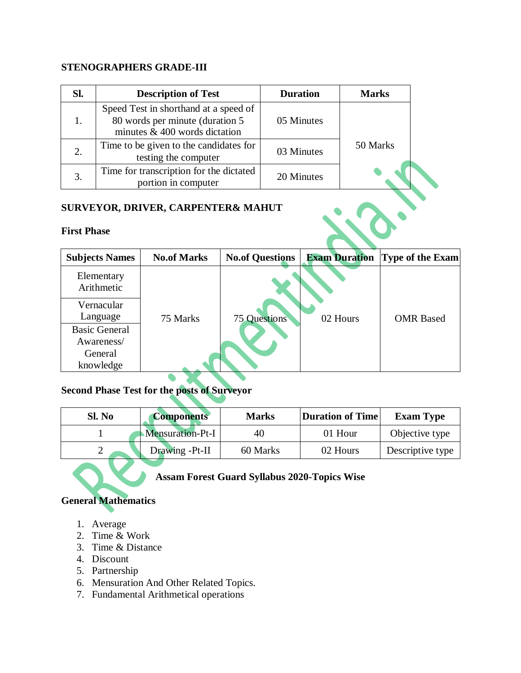## **STENOGRAPHERS GRADE-III**

| SI.                |                                                                              | <b>Description of Test</b>                                                                                  |            | <b>Duration</b>        | <b>Marks</b>         |                 |
|--------------------|------------------------------------------------------------------------------|-------------------------------------------------------------------------------------------------------------|------------|------------------------|----------------------|-----------------|
| 1.                 |                                                                              | Speed Test in shorthand at a speed of<br>80 words per minute (duration 5<br>minutes $& 400$ words dictation |            | 05 Minutes             |                      |                 |
| 2.                 | Time to be given to the candidates for<br>03 Minutes<br>testing the computer |                                                                                                             |            |                        | 50 Marks             |                 |
| 3.                 | Time for transcription for the dictated<br>portion in computer               |                                                                                                             | 20 Minutes |                        |                      |                 |
| <b>First Phase</b> |                                                                              | <b>SURVEYOR, DRIVER, CARPENTER&amp; MAHUT</b>                                                               |            |                        |                      |                 |
|                    | <b>Subjects Names</b>                                                        | <b>No.of Marks</b>                                                                                          |            | <b>No.of Questions</b> | <b>Exam Duration</b> | Type of the Exa |

## **SURVEYOR, DRIVER, CARPENTER& MAHUT**

### **First Phase**

| <b>Subjects Names</b>    | <b>No.of Marks</b> | <b>No.of Questions</b> | <b>Exam Duration</b> | <b>Type of the Exam</b> |
|--------------------------|--------------------|------------------------|----------------------|-------------------------|
| Elementary<br>Arithmetic |                    |                        |                      |                         |
| Vernacular               |                    |                        |                      |                         |
| Language                 | 75 Marks           | <b>75 Questions</b>    | 02 Hours             | <b>OMR</b> Based        |
| <b>Basic General</b>     |                    |                        |                      |                         |
| Awareness/               |                    |                        |                      |                         |
| General                  |                    |                        |                      |                         |
| knowledge                |                    |                        |                      |                         |

## **Second Phase Test for the posts of Surveyor**

| Sl. No | <b>Components</b> | <b>Marks</b> | Duration of Time | <b>Exam Type</b> |
|--------|-------------------|--------------|------------------|------------------|
|        | Mensuration-Pt-I  | 40           | 01 Hour          | Objective type   |
|        | Drawing -Pt-II    | 60 Marks     | 02 Hours         | Descriptive type |

# **Assam Forest Guard Syllabus 2020-Topics Wise**

## **General Mathematics**

- 1. Average
- 2. Time & Work
- 3. Time & Distance
- 4. Discount
- 5. Partnership
- 6. Mensuration And Other Related Topics.
- 7. Fundamental Arithmetical operations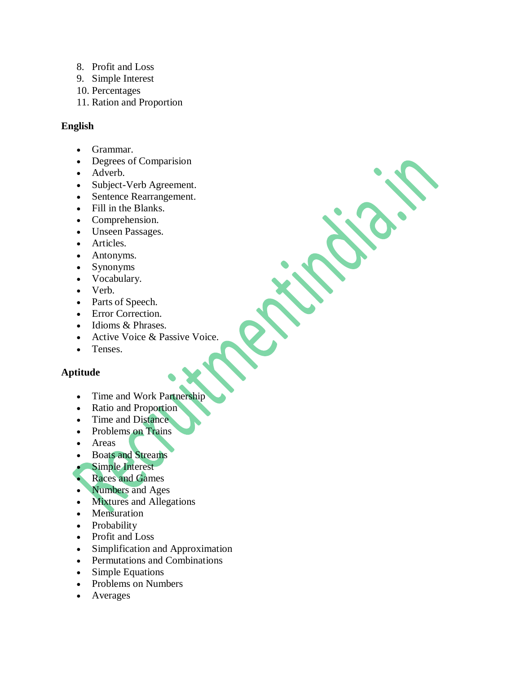- 8. Profit and Loss
- 9. Simple Interest
- 10. Percentages
- 11. Ration and Proportion

## **English**

- Grammar.
- Degrees of Comparision
- Adverb.
- Subject-Verb Agreement.
- Sentence Rearrangement.
- Fill in the Blanks.
- Comprehension.
- Unseen Passages.
- Articles.
- Antonyms.
- Synonyms
- Vocabulary.
- Verb.
- Parts of Speech.
- Error Correction.
- Idioms & Phrases.
- Active Voice & Passive Voice.
- Tenses.

## **Aptitude**

- Time and Work Partnership
- Ratio and Proportion
- Time and Distance
- Problems on Trains
- Areas
- Boats and Streams
- Simple Interest
- Races and Games
- Numbers and Ages
- Mixtures and Allegations
- Mensuration
- Probability
- Profit and Loss
- Simplification and Approximation
- Permutations and Combinations
- Simple Equations
- Problems on Numbers
- Averages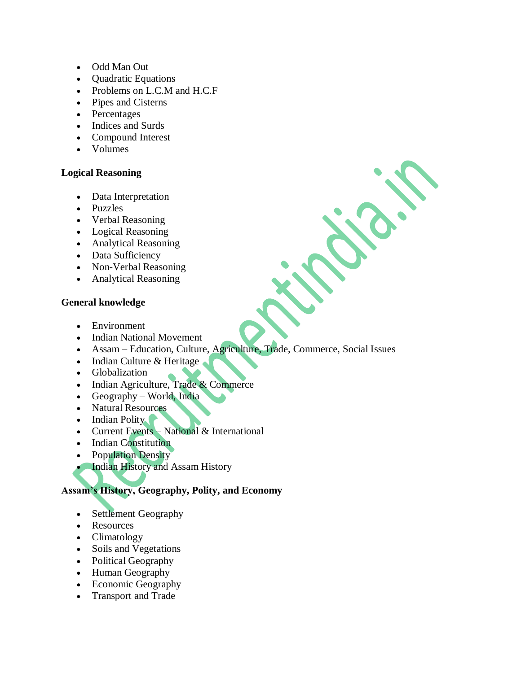- Odd Man Out
- Quadratic Equations
- Problems on L.C.M and H.C.F
- Pipes and Cisterns
- Percentages
- Indices and Surds
- Compound Interest
- Volumes

### **Logical Reasoning**

- Data Interpretation
- Puzzles
- Verbal Reasoning
- Logical Reasoning
- Analytical Reasoning
- Data Sufficiency
- Non-Verbal Reasoning
- Analytical Reasoning

### **General knowledge**

- Environment
- Indian National Movement
- Assam Education, Culture, Agriculture, Trade, Commerce, Social Issues
- Indian Culture & Heritage
- Globalization
- Indian Agriculture, Trade & Commerce
- Geography World, India
- Natural Resources
- $\bullet$  Indian Polity
- Current Events National & International
- Indian Constitution
- Population Density
- **Indian History and Assam History**

## **Assam's History, Geography, Polity, and Economy**

- Settlement Geography
- Resources
- Climatology
- Soils and Vegetations
- Political Geography
- Human Geography
- Economic Geography
- Transport and Trade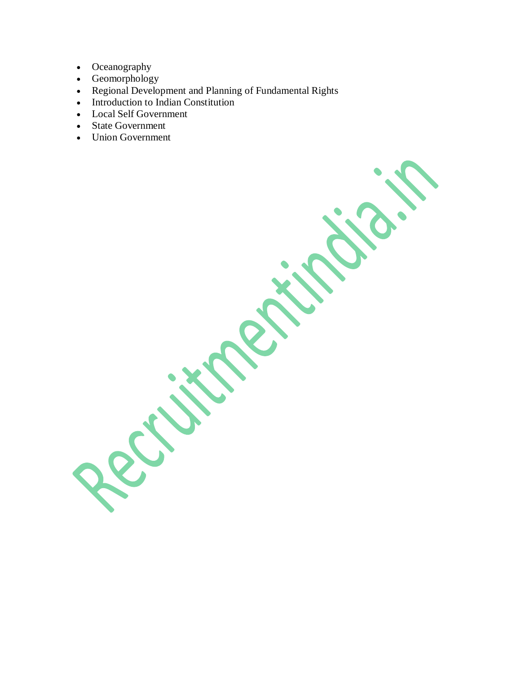- Oceanography
- Geomorphology
- Regional Development and Planning of Fundamental Rights
- Introduction to Indian Constitution
- Local Self Government
- State Government
- Union Government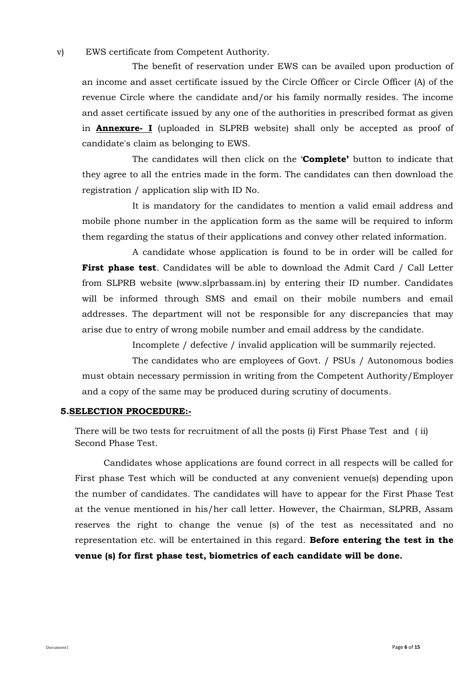v) EWS certificate from Competent Authority.

The benefit of reservation under EWS can be availed upon production of an income and asset certificate issued by the Circle Officer or Circle Officer (A) of the revenue Circle where the candidate and/or his family normally resides. The income and asset certificate issued by any one of the authorities in prescribed format as given in **Annexure- I** (uploaded in SLPRB website) shall only be accepted as proof of candidate's claim as belonging to EWS.

The candidates will then click on the '**Complete'** button to indicate that they agree to all the entries made in the form. The candidates can then download the registration / application slip with ID No.

It is mandatory for the candidates to mention a valid email address and mobile phone number in the application form as the same will be required to inform them regarding the status of their applications and convey other related information.

A candidate whose application is found to be in order will be called for **First phase test**. Candidates will be able to download the Admit Card / Call Letter from SLPRB website (www.slprbassam.in) by entering their ID number. Candidates will be informed through SMS and email on their mobile numbers and email addresses. The department will not be responsible for any discrepancies that may arise due to entry of wrong mobile number and email address by the candidate.

Incomplete / defective / invalid application will be summarily rejected.

The candidates who are employees of Govt. / PSUs / Autonomous bodies must obtain necessary permission in writing from the Competent Authority/Employer and a copy of the same may be produced during scrutiny of documents.

#### **5.SELECTION PROCEDURE:-**

There will be two tests for recruitment of all the posts (i) First Phase Test and ( ii) Second Phase Test.

Candidates whose applications are found correct in all respects will be called for First phase Test which will be conducted at any convenient venue(s) depending upon the number of candidates. The candidates will have to appear for the First Phase Test at the venue mentioned in his/her call letter. However, the Chairman, SLPRB, Assam reserves the right to change the venue (s) of the test as necessitated and no representation etc. will be entertained in this regard. **Before entering the test in the venue (s) for first phase test, biometrics of each candidate will be done.**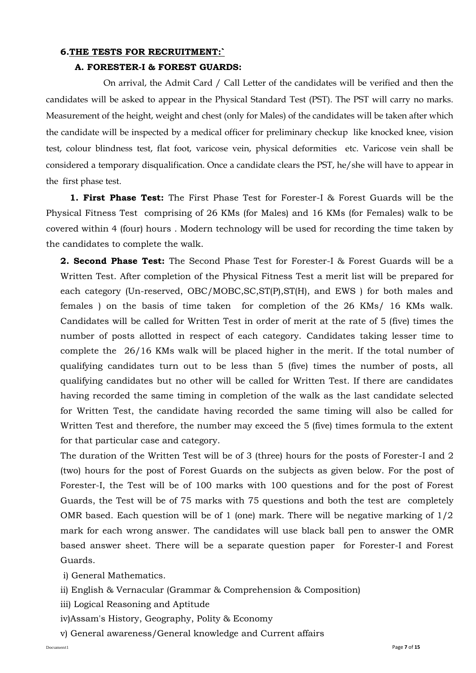#### **6.THE TESTS FOR RECRUITMENT:`**

## **A. FORESTER-I & FOREST GUARDS:**

On arrival, the Admit Card / Call Letter of the candidates will be verified and then the candidates will be asked to appear in the Physical Standard Test (PST). The PST will carry no marks. Measurement of the height, weight and chest (only for Males) of the candidates will be taken after which the candidate will be inspected by a medical officer for preliminary checkup like knocked knee, vision test, colour blindness test, flat foot, varicose vein, physical deformities etc. Varicose vein shall be considered a temporary disqualification. Once a candidate clears the PST, he/she will have to appear in the first phase test.

 **1. First Phase Test:** The First Phase Test for Forester-I & Forest Guards will be the Physical Fitness Test comprising of 26 KMs (for Males) and 16 KMs (for Females) walk to be covered within 4 (four) hours . Modern technology will be used for recording the time taken by the candidates to complete the walk.

**2. Second Phase Test:** The Second Phase Test for Forester-I & Forest Guards will be a Written Test. After completion of the Physical Fitness Test a merit list will be prepared for each category (Un-reserved, OBC/MOBC,SC,ST(P),ST(H), and EWS ) for both males and females ) on the basis of time taken for completion of the 26 KMs/ 16 KMs walk. Candidates will be called for Written Test in order of merit at the rate of 5 (five) times the number of posts allotted in respect of each category. Candidates taking lesser time to complete the 26/16 KMs walk will be placed higher in the merit. If the total number of qualifying candidates turn out to be less than 5 (five) times the number of posts, all qualifying candidates but no other will be called for Written Test. If there are candidates having recorded the same timing in completion of the walk as the last candidate selected for Written Test, the candidate having recorded the same timing will also be called for Written Test and therefore, the number may exceed the 5 (five) times formula to the extent for that particular case and category.

The duration of the Written Test will be of 3 (three) hours for the posts of Forester-I and 2 (two) hours for the post of Forest Guards on the subjects as given below. For the post of Forester-I, the Test will be of 100 marks with 100 questions and for the post of Forest Guards, the Test will be of 75 marks with 75 questions and both the test are completely OMR based. Each question will be of 1 (one) mark. There will be negative marking of  $1/2$ mark for each wrong answer. The candidates will use black ball pen to answer the OMR based answer sheet. There will be a separate question paper for Forester-I and Forest Guards.

i) General Mathematics.

- ii) English & Vernacular (Grammar & Comprehension & Composition)
- iii) Logical Reasoning and Aptitude
- iv)Assam's History, Geography, Polity & Economy
- v) General awareness/General knowledge and Current affairs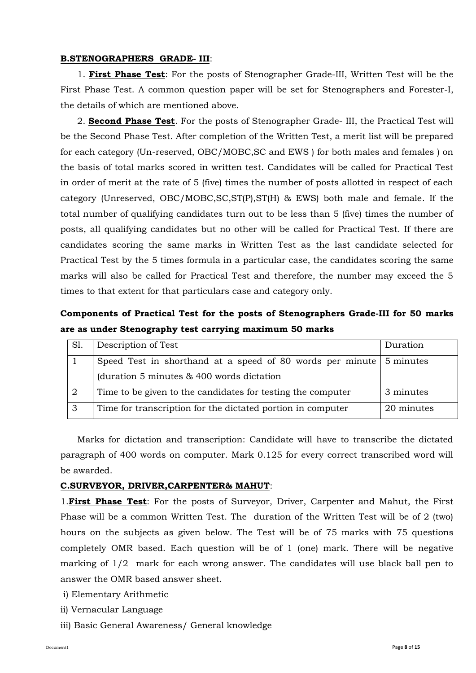#### **B.STENOGRAPHERS GRADE- III**:

 1. **First Phase Test**: For the posts of Stenographer Grade-III, Written Test will be the First Phase Test. A common question paper will be set for Stenographers and Forester-I, the details of which are mentioned above.

 2. **Second Phase Test**. For the posts of Stenographer Grade- III, the Practical Test will be the Second Phase Test. After completion of the Written Test, a merit list will be prepared for each category (Un-reserved, OBC/MOBC,SC and EWS ) for both males and females ) on the basis of total marks scored in written test. Candidates will be called for Practical Test in order of merit at the rate of 5 (five) times the number of posts allotted in respect of each category (Unreserved, OBC/MOBC,SC,ST(P),ST(H) & EWS) both male and female. If the total number of qualifying candidates turn out to be less than 5 (five) times the number of posts, all qualifying candidates but no other will be called for Practical Test. If there are candidates scoring the same marks in Written Test as the last candidate selected for Practical Test by the 5 times formula in a particular case, the candidates scoring the same marks will also be called for Practical Test and therefore, the number may exceed the 5 times to that extent for that particulars case and category only.

## **Components of Practical Test for the posts of Stenographers Grade-III for 50 marks are as under Stenography test carrying maximum 50 marks**

| S1. | Description of Test                                                             | Duration   |
|-----|---------------------------------------------------------------------------------|------------|
|     | Speed Test in shorthand at a speed of 80 words per minute $\frac{1}{5}$ minutes |            |
|     | (duration $5$ minutes $\&$ 400 words dictation                                  |            |
| 2   | Time to be given to the candidates for testing the computer                     | 3 minutes  |
| 3   | Time for transcription for the dictated portion in computer                     | 20 minutes |

 Marks for dictation and transcription: Candidate will have to transcribe the dictated paragraph of 400 words on computer. Mark 0.125 for every correct transcribed word will be awarded.

#### **C.SURVEYOR, DRIVER,CARPENTER& MAHUT**:

1.**First Phase Test**: For the posts of Surveyor, Driver, Carpenter and Mahut, the First Phase will be a common Written Test. The duration of the Written Test will be of 2 (two) hours on the subjects as given below. The Test will be of 75 marks with 75 questions completely OMR based. Each question will be of 1 (one) mark. There will be negative marking of 1/2 mark for each wrong answer. The candidates will use black ball pen to answer the OMR based answer sheet.

- i) Elementary Arithmetic
- ii) Vernacular Language
- iii) Basic General Awareness/ General knowledge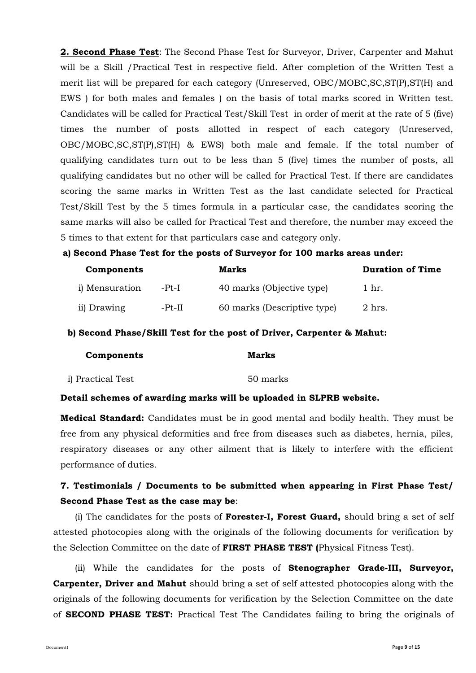**2. Second Phase Test**: The Second Phase Test for Surveyor, Driver, Carpenter and Mahut will be a Skill /Practical Test in respective field. After completion of the Written Test a merit list will be prepared for each category (Unreserved, OBC/MOBC,SC,ST(P),ST(H) and EWS ) for both males and females ) on the basis of total marks scored in Written test. Candidates will be called for Practical Test/Skill Test in order of merit at the rate of 5 (five) times the number of posts allotted in respect of each category (Unreserved, OBC/MOBC,SC,ST(P),ST(H) & EWS) both male and female. If the total number of qualifying candidates turn out to be less than 5 (five) times the number of posts, all qualifying candidates but no other will be called for Practical Test. If there are candidates scoring the same marks in Written Test as the last candidate selected for Practical Test/Skill Test by the 5 times formula in a particular case, the candidates scoring the same marks will also be called for Practical Test and therefore, the number may exceed the 5 times to that extent for that particulars case and category only.

#### **a) Second Phase Test for the posts of Surveyor for 100 marks areas under:**

| Components             |          | Marks                       | <b>Duration of Time</b> |
|------------------------|----------|-----------------------------|-------------------------|
| <i>i</i> ) Mensuration | -Pt-I    | 40 marks (Objective type)   | 1 hr.                   |
| ii) Drawing            | $-Pt-II$ | 60 marks (Descriptive type) | 2 hrs.                  |

#### **b) Second Phase/Skill Test for the post of Driver, Carpenter & Mahut:**

| Components        | Marks    |
|-------------------|----------|
| i) Practical Test | 50 marks |

#### **Detail schemes of awarding marks will be uploaded in SLPRB website.**

**Medical Standard:** Candidates must be in good mental and bodily health. They must be free from any physical deformities and free from diseases such as diabetes, hernia, piles, respiratory diseases or any other ailment that is likely to interfere with the efficient performance of duties.

## **7. Testimonials / Documents to be submitted when appearing in First Phase Test/ Second Phase Test as the case may be**:

(i) The candidates for the posts of **Forester-I, Forest Guard,** should bring a set of self attested photocopies along with the originals of the following documents for verification by the Selection Committee on the date of **FIRST PHASE TEST (**Physical Fitness Test).

(ii) While the candidates for the posts of **Stenographer Grade-III, Surveyor, Carpenter, Driver and Mahut** should bring a set of self attested photocopies along with the originals of the following documents for verification by the Selection Committee on the date of **SECOND PHASE TEST:** Practical Test The Candidates failing to bring the originals of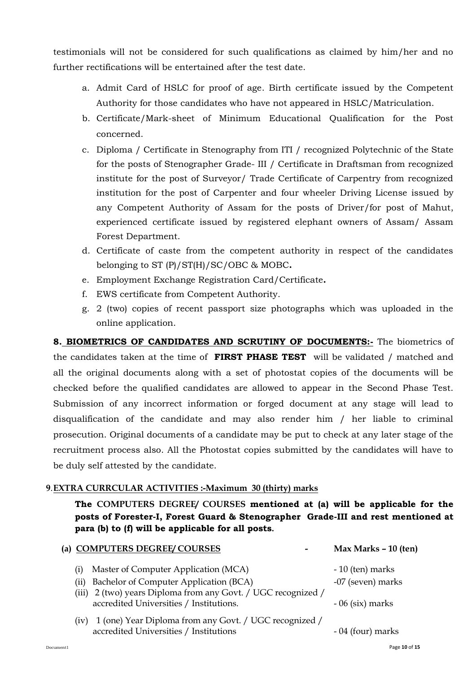testimonials will not be considered for such qualifications as claimed by him/her and no further rectifications will be entertained after the test date.

- a. Admit Card of HSLC for proof of age. Birth certificate issued by the Competent Authority for those candidates who have not appeared in HSLC/Matriculation.
- b. Certificate/Mark-sheet of Minimum Educational Qualification for the Post concerned.
- c. Diploma / Certificate in Stenography from ITI / recognized Polytechnic of the State for the posts of Stenographer Grade- III / Certificate in Draftsman from recognized institute for the post of Surveyor/ Trade Certificate of Carpentry from recognized institution for the post of Carpenter and four wheeler Driving License issued by any Competent Authority of Assam for the posts of Driver/for post of Mahut, experienced certificate issued by registered elephant owners of Assam/ Assam Forest Department.
- d. Certificate of caste from the competent authority in respect of the candidates belonging to ST (P)/ST(H)/SC/OBC & MOBC**.**
- e. Employment Exchange Registration Card/Certificate**.**
- f. EWS certificate from Competent Authority.
- g. 2 (two) copies of recent passport size photographs which was uploaded in the online application.

**8. BIOMETRICS OF CANDIDATES AND SCRUTINY OF DOCUMENTS:-** The biometrics of the candidates taken at the time of **FIRST PHASE TEST** will be validated / matched and all the original documents along with a set of photostat copies of the documents will be checked before the qualified candidates are allowed to appear in the Second Phase Test. Submission of any incorrect information or forged document at any stage will lead to disqualification of the candidate and may also render him / her liable to criminal prosecution. Original documents of a candidate may be put to check at any later stage of the recruitment process also. All the Photostat copies submitted by the candidates will have to be duly self attested by the candidate.

## **9**.**EXTRA CURRCULAR ACTIVITIES :-Maximum 30 (thirty) marks**

**The COMPUTERS DEGREE/ COURSES mentioned at (a) will be applicable for the posts of Forester-I, Forest Guard & Stenographer Grade-III and rest mentioned at para (b) to (f) will be applicable for all posts.** 

| (a) COMPUTERS DEGREE/ COURSES                                                                            | Max Marks - 10 (ten) |
|----------------------------------------------------------------------------------------------------------|----------------------|
| Master of Computer Application (MCA)<br>$\rm(i)$                                                         | $-10$ (ten) marks    |
| Bachelor of Computer Application (BCA)<br>(ii)                                                           | -07 (seven) marks    |
| (iii) 2 (two) years Diploma from any Govt. / UGC recognized /<br>accredited Universities / Institutions. | $-06$ (six) marks    |
| 1 (one) Year Diploma from any Govt. / UGC recognized /<br>(iv)<br>accredited Universities / Institutions | - 04 (four) marks    |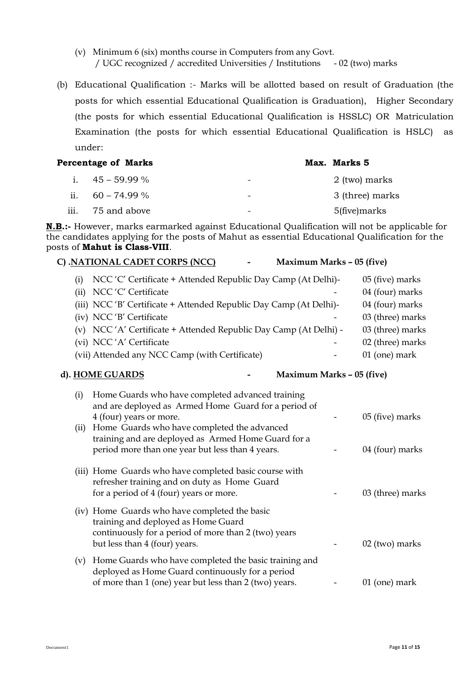- (v) Minimum 6 (six) months course in Computers from any Govt. / UGC recognized / accredited Universities / Institutions - 02 (two) marks
- (b) Educational Qualification :- Marks will be allotted based on result of Graduation (the posts for which essential Educational Qualification is Graduation), Higher Secondary (the posts for which essential Educational Qualification is HSSLC) OR Matriculation Examination (the posts for which essential Educational Qualification is HSLC) as under:

| Percentage of Marks |                    |                          | Max. Marks 5    |
|---------------------|--------------------|--------------------------|-----------------|
|                     | i. $45 - 59.99\%$  | $\overline{\phantom{0}}$ | 2 (two) marks   |
|                     | ii. $60 - 74.99\%$ | $\overline{\phantom{0}}$ | 3 (three) marks |
| 111.                | 75 and above       | $\overline{\phantom{0}}$ | 5(five)marks    |

**N.B.:-** However, marks earmarked against Educational Qualification will not be applicable for the candidates applying for the posts of Mahut as essential Educational Qualification for the posts of **Mahut is Class-VIII**.

### **C) .NATIONAL CADET CORPS (NCC) - Maximum Marks – 05 (five)**

(i) NCC 'C' Certificate + Attended Republic Day Camp (At Delhi)- 05 (five) marks

| (ii) NCC 'C' Certificate<br>-                                      | 04 (four) marks  |
|--------------------------------------------------------------------|------------------|
| (iii) NCC 'B' Certificate + Attended Republic Day Camp (At Delhi)- | 04 (four) marks  |
| (iv) NCC 'B' Certificate                                           | 03 (three) marks |
| (v) NCC 'A' Certificate + Attended Republic Day Camp (At Delhi) -  | 03 (three) marks |
| (vi) NCC 'A' Certificate                                           | 02 (three) marks |
| (vii) Attended any NCC Camp (with Certificate)<br>-                | $01$ (one) mark  |

#### **d). HOME GUARDS - Maximum Marks – 05 (five)**

| (i)  | Home Guards who have completed advanced training<br>and are deployed as Armed Home Guard for a period of |                  |
|------|----------------------------------------------------------------------------------------------------------|------------------|
|      | 4 (four) years or more.                                                                                  | 05 (five) marks  |
| (ii) | Home Guards who have completed the advanced                                                              |                  |
|      | training and are deployed as Armed Home Guard for a                                                      |                  |
|      | period more than one year but less than 4 years.                                                         | 04 (four) marks  |
|      |                                                                                                          |                  |
|      | (iii) Home Guards who have completed basic course with                                                   |                  |
|      | refresher training and on duty as Home Guard                                                             |                  |
|      | for a period of 4 (four) years or more.                                                                  | 03 (three) marks |
|      | (iv) Home Guards who have completed the basic                                                            |                  |
|      | training and deployed as Home Guard                                                                      |                  |
|      | continuously for a period of more than 2 (two) years                                                     |                  |
|      | but less than 4 (four) years.                                                                            | $02$ (two) marks |
|      |                                                                                                          |                  |
| (v)  | Home Guards who have completed the basic training and                                                    |                  |
|      | deployed as Home Guard continuously for a period                                                         |                  |
|      | of more than 1 (one) year but less than 2 (two) years.                                                   | $01$ (one) mark  |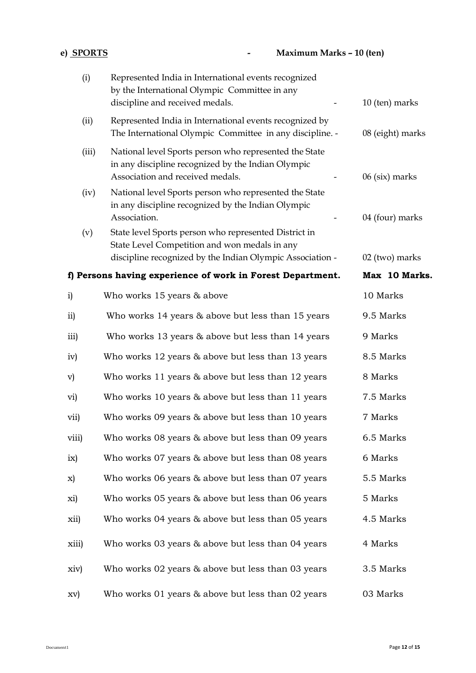| e) SPORTS                                                  | Maximum Marks - 10 (ten)                                                                                                                                            |                  |
|------------------------------------------------------------|---------------------------------------------------------------------------------------------------------------------------------------------------------------------|------------------|
| (i)                                                        | Represented India in International events recognized<br>by the International Olympic Committee in any<br>discipline and received medals.                            | 10 (ten) marks   |
| (ii)                                                       | Represented India in International events recognized by<br>The International Olympic Committee in any discipline. -                                                 | 08 (eight) marks |
| (iii)                                                      | National level Sports person who represented the State<br>in any discipline recognized by the Indian Olympic<br>Association and received medals.                    | $06$ (six) marks |
| (iv)                                                       | National level Sports person who represented the State<br>in any discipline recognized by the Indian Olympic<br>Association.                                        | 04 (four) marks  |
| (v)                                                        | State level Sports person who represented District in<br>State Level Competition and won medals in any<br>discipline recognized by the Indian Olympic Association - | 02 (two) marks   |
| f) Persons having experience of work in Forest Department. |                                                                                                                                                                     | Max 10 Marks.    |
| $\mathbf{i}$                                               | Who works 15 years & above                                                                                                                                          | 10 Marks         |
| ii)                                                        | Who works 14 years & above but less than 15 years                                                                                                                   | 9.5 Marks        |
| iii)                                                       | Who works 13 years & above but less than 14 years                                                                                                                   | 9 Marks          |
| iv)                                                        | Who works 12 years & above but less than 13 years                                                                                                                   | 8.5 Marks        |
| $\mathbf{v})$                                              | Who works 11 years & above but less than 12 years                                                                                                                   | 8 Marks          |
| vi)                                                        | Who works 10 years & above but less than 11 years                                                                                                                   | 7.5 Marks        |
| vii)                                                       | Who works 09 years & above but less than 10 years                                                                                                                   | 7 Marks          |
| viii)                                                      | Who works 08 years & above but less than 09 years                                                                                                                   | 6.5 Marks        |
| ix)                                                        | Who works 07 years & above but less than 08 years                                                                                                                   | 6 Marks          |
| X)                                                         | Who works 06 years & above but less than 07 years                                                                                                                   | 5.5 Marks        |
| xi)                                                        | Who works 05 years & above but less than 06 years                                                                                                                   | 5 Marks          |
| xii)                                                       | Who works 04 years & above but less than 05 years                                                                                                                   | 4.5 Marks        |
| xiii)                                                      | Who works 03 years & above but less than 04 years                                                                                                                   | 4 Marks          |
| xiv)                                                       | Who works 02 years & above but less than 03 years                                                                                                                   | 3.5 Marks        |
| XV)                                                        | Who works 01 years & above but less than 02 years                                                                                                                   | 03 Marks         |